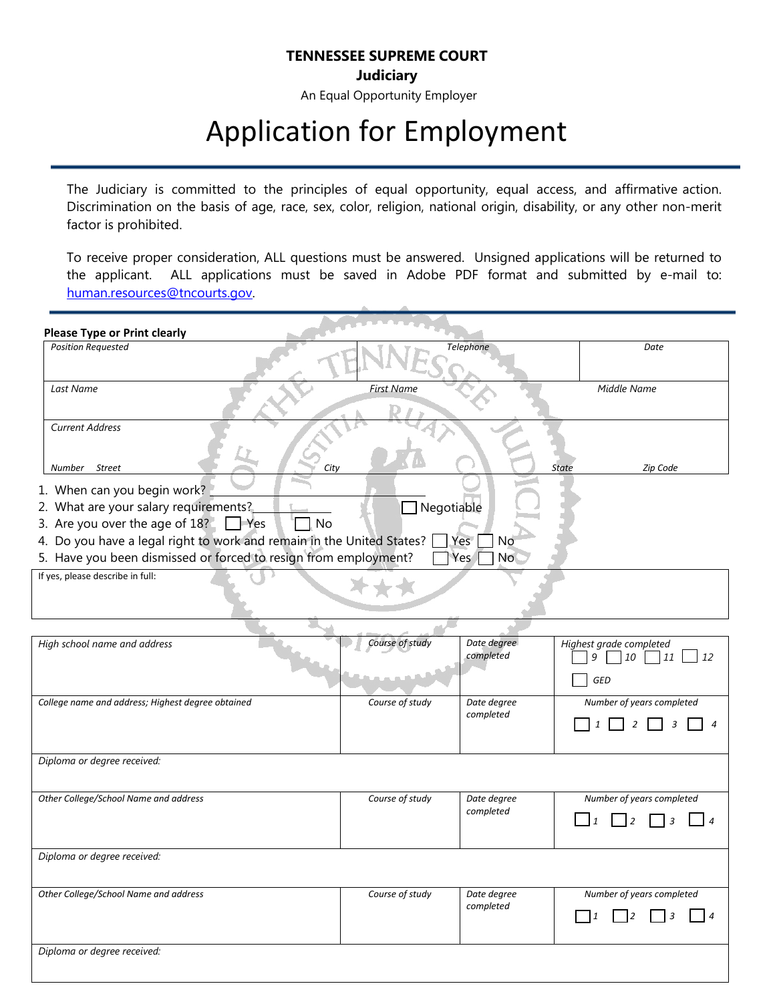## **TENNESSEE SUPREME COURT**

**Judiciary**

An Equal Opportunity Employer

## Application for Employment

The Judiciary is committed to the principles of equal opportunity, equal access, and affirmative action. Discrimination on the basis of age, race, sex, color, religion, national origin, disability, or any other non-merit factor is prohibited.

To receive proper consideration, ALL questions must be answered. Unsigned applications will be returned to the applicant. ALL applications must be saved in Adobe PDF format and submitted by e-mail to: [human.resources@tncourts.gov.](mailto:human.resources@tncourts.gov)

| <b>Please Type or Print clearly</b>                                                                                                                                                                                                                                                                                          |                   |                          |                                                       |  |
|------------------------------------------------------------------------------------------------------------------------------------------------------------------------------------------------------------------------------------------------------------------------------------------------------------------------------|-------------------|--------------------------|-------------------------------------------------------|--|
| <b>Position Requested</b>                                                                                                                                                                                                                                                                                                    |                   | Telephone                | Date                                                  |  |
| Last Name                                                                                                                                                                                                                                                                                                                    | <b>First Name</b> |                          | Middle Name                                           |  |
| <b>Current Address</b><br>Street<br>Number<br>City                                                                                                                                                                                                                                                                           |                   |                          | Zip Code<br><b>State</b>                              |  |
| 1. When can you begin work?<br>2. What are your salary requirements?<br>$\Box$ Negotiable<br>3. Are you over the age of $18$ ? $\Box$ Yes<br>No<br>4. Do you have a legal right to work and remain in the United States?<br>Yes<br>No<br>5. Have you been dismissed or forced to resign from employment?<br>Yes<br><b>No</b> |                   |                          |                                                       |  |
| If yes, please describe in full:                                                                                                                                                                                                                                                                                             |                   |                          |                                                       |  |
| High school name and address                                                                                                                                                                                                                                                                                                 | Course of study   | Date degree<br>completed | Highest grade completed<br>9<br>10<br>11<br>12<br>GED |  |
| College name and address; Highest degree obtained                                                                                                                                                                                                                                                                            | Course of study   | Date degree<br>completed | Number of years completed                             |  |
| Diploma or degree received:                                                                                                                                                                                                                                                                                                  |                   |                          |                                                       |  |
| Other College/School Name and address                                                                                                                                                                                                                                                                                        | Course of study   | Date degree<br>completed | Number of years completed<br>$\vert$ 4<br>2<br>3      |  |
| Diploma or degree received:                                                                                                                                                                                                                                                                                                  |                   |                          |                                                       |  |
| Other College/School Name and address                                                                                                                                                                                                                                                                                        | Course of study   | Date degree<br>completed | Number of years completed<br>$\mathbf{1}$<br>l 4      |  |
| Diploma or degree received:                                                                                                                                                                                                                                                                                                  |                   |                          |                                                       |  |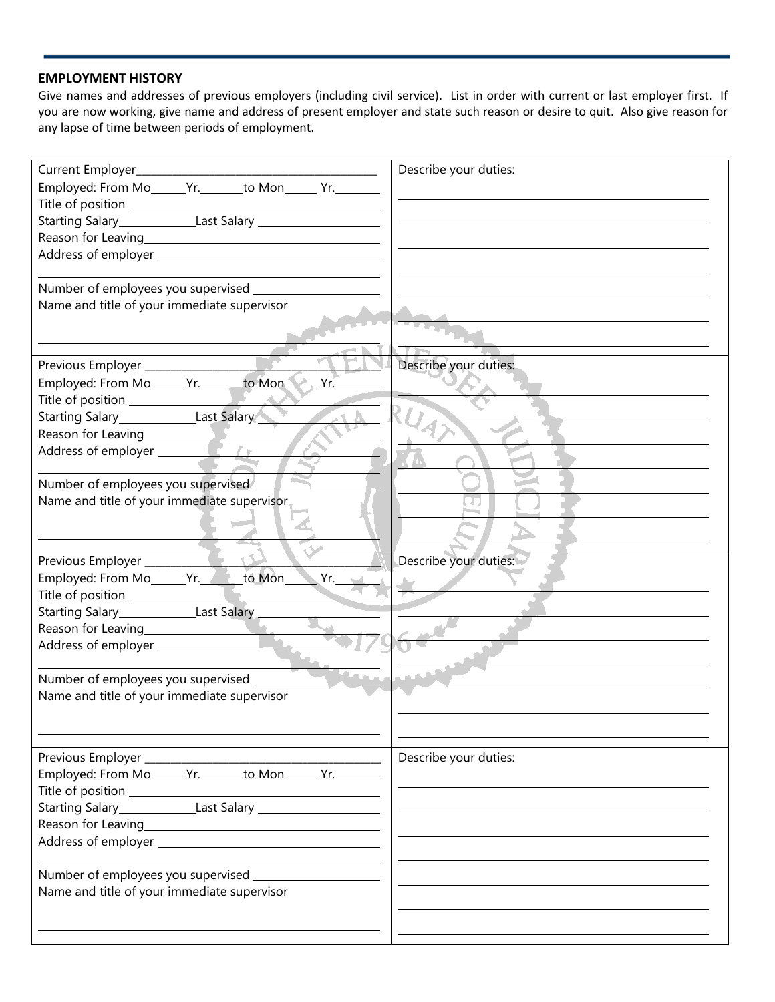## **EMPLOYMENT HISTORY**

Give names and addresses of previous employers (including civil service). List in order with current or last employer first. If you are now working, give name and address of present employer and state such reason or desire to quit. Also give reason for any lapse of time between periods of employment.

| Current Employer_____________________<br>Employed: From Mo______Yr._______to Mon______ Yr.________ | Describe your duties: |
|----------------------------------------------------------------------------------------------------|-----------------------|
|                                                                                                    |                       |
|                                                                                                    |                       |
|                                                                                                    |                       |
|                                                                                                    |                       |
|                                                                                                    |                       |
| Number of employees you supervised _________                                                       |                       |
| Name and title of your immediate supervisor                                                        |                       |
|                                                                                                    |                       |
|                                                                                                    | Describe your duties: |
| Previous Employer<br>Employed: From Mo______Yr._______to Mon_______Yr.___                          |                       |
| Title of position<br>Starting Salary<br>Last Salary                                                |                       |
|                                                                                                    |                       |
|                                                                                                    |                       |
| Reason for Leaving<br>Address of employer                                                          |                       |
|                                                                                                    |                       |
| Number of employees you supervised                                                                 |                       |
| Name and title of your immediate supervisor                                                        |                       |
|                                                                                                    |                       |
|                                                                                                    | Describe your duties: |
| Employed: From Mo______Yr._______to Mon______Yr.____                                               |                       |
|                                                                                                    |                       |
|                                                                                                    |                       |
| Reason for Leaving                                                                                 |                       |
|                                                                                                    |                       |
|                                                                                                    |                       |
| Number of employees you supervised _____                                                           |                       |
| Name and title of your immediate supervisor                                                        |                       |
|                                                                                                    |                       |
|                                                                                                    | Describe your duties: |
| Employed: From Mo______Yr._______to Mon______ Yr.________                                          |                       |
|                                                                                                    |                       |
|                                                                                                    |                       |
|                                                                                                    |                       |
|                                                                                                    |                       |
|                                                                                                    |                       |
| Name and title of your immediate supervisor                                                        |                       |
|                                                                                                    |                       |
|                                                                                                    |                       |
|                                                                                                    |                       |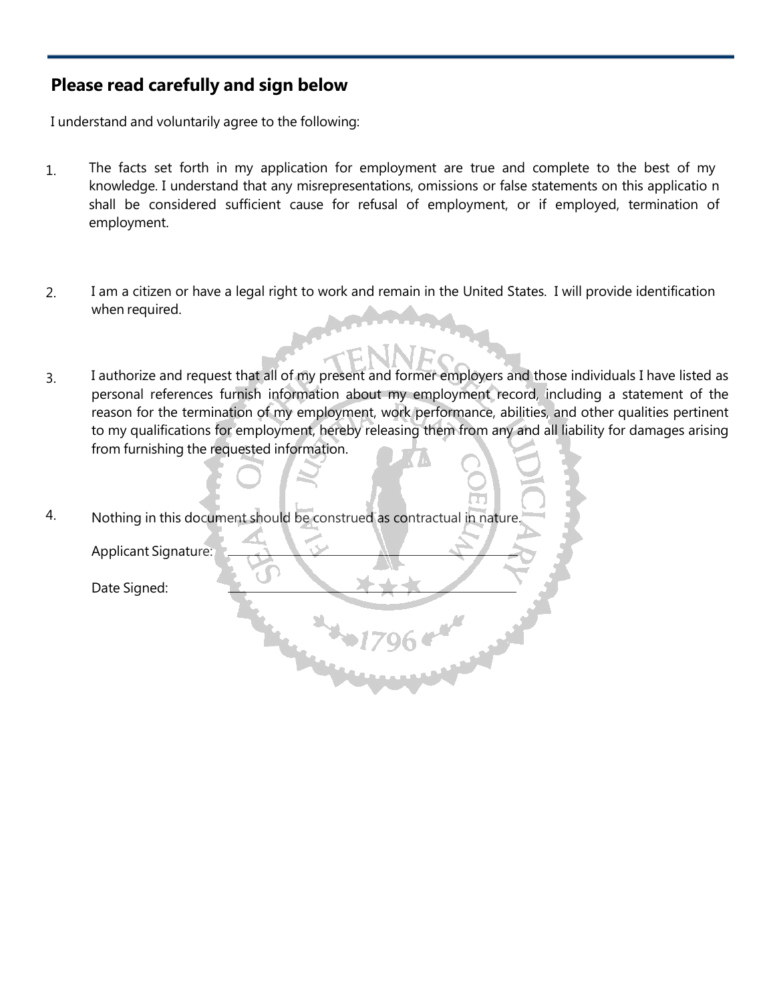## **Please read carefully and sign below**

I understand and voluntarily agree to the following:

- 1. The facts set forth in my application for employment are true and complete to the best of my knowledge. I understand that any misrepresentations, omissions or false statements on this applicatio n shall be considered sufficient cause for refusal of employment, or if employed, termination of employment.
- 2. I am a citizen or have a legal right to work and remain in the United States. I will provide identification when required.
- 3. I authorize and request that all of my present and former employers and those individuals I have listed as personal references furnish information about my employment record, including a statement of the reason for the termination of my employment, work performance, abilities, and other qualities pertinent to my qualifications for employment, hereby releasing them from any and all liability for damages arising from furnishing the requested information.
- 4. Nothing in this document should be construed as contractual in nature.

Applicant Signature:

Date Signed: